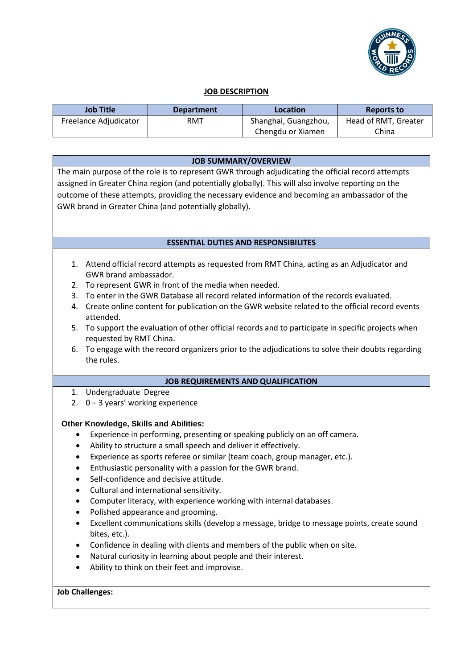

## **JOB DESCRIPTION**

| <b>Job Title</b>      | <b>Department</b> | Location             | <b>Reports to</b>    |
|-----------------------|-------------------|----------------------|----------------------|
| Freelance Adjudicator | RMT               | Shanghai, Guangzhou, | Head of RMT, Greater |
|                       |                   | Chengdu or Xiamen    | China                |

| <b>JOB SUMMARY/OVERVIEW</b>                                                                                                                        |  |  |  |
|----------------------------------------------------------------------------------------------------------------------------------------------------|--|--|--|
| The main purpose of the role is to represent GWR through adjudicating the official record attempts                                                 |  |  |  |
| assigned in Greater China region (and potentially globally). This will also involve reporting on the                                               |  |  |  |
| outcome of these attempts, providing the necessary evidence and becoming an ambassador of the                                                      |  |  |  |
| GWR brand in Greater China (and potentially globally).                                                                                             |  |  |  |
|                                                                                                                                                    |  |  |  |
|                                                                                                                                                    |  |  |  |
| <b>ESSENTIAL DUTIES AND RESPONSIBILITES</b>                                                                                                        |  |  |  |
|                                                                                                                                                    |  |  |  |
| 1. Attend official record attempts as requested from RMT China, acting as an Adjudicator and                                                       |  |  |  |
| GWR brand ambassador.                                                                                                                              |  |  |  |
| To represent GWR in front of the media when needed.<br>2.<br>To enter in the GWR Database all record related information of the records evaluated. |  |  |  |
| 3.                                                                                                                                                 |  |  |  |
| Create online content for publication on the GWR website related to the official record events<br>4.<br>attended.                                  |  |  |  |
| To support the evaluation of other official records and to participate in specific projects when<br>5.                                             |  |  |  |
| requested by RMT China.                                                                                                                            |  |  |  |
| To engage with the record organizers prior to the adjudications to solve their doubts regarding<br>6.                                              |  |  |  |
| the rules.                                                                                                                                         |  |  |  |
|                                                                                                                                                    |  |  |  |
| <b>JOB REQUIREMENTS AND QUALIFICATION</b>                                                                                                          |  |  |  |
| 1. Undergraduate Degree                                                                                                                            |  |  |  |
| 2. $0 - 3$ years' working experience                                                                                                               |  |  |  |
| <b>Other Knowledge, Skills and Abilities:</b>                                                                                                      |  |  |  |
| Experience in performing, presenting or speaking publicly on an off camera.<br>٠                                                                   |  |  |  |
| Ability to structure a small speech and deliver it effectively.<br>٠                                                                               |  |  |  |
| Experience as sports referee or similar (team coach, group manager, etc.).<br>٠                                                                    |  |  |  |
| Enthusiastic personality with a passion for the GWR brand.<br>٠                                                                                    |  |  |  |
| Self-confidence and decisive attitude.<br>$\bullet$                                                                                                |  |  |  |
| Cultural and international sensitivity.                                                                                                            |  |  |  |
| Computer literacy, with experience working with internal databases.                                                                                |  |  |  |
| Polished appearance and grooming.                                                                                                                  |  |  |  |
| Excellent communications skills (develop a message, bridge to message points, create sound                                                         |  |  |  |
| bites, etc.).                                                                                                                                      |  |  |  |
| Confidence in dealing with clients and members of the public when on site.                                                                         |  |  |  |
| Natural curiosity in learning about people and their interest.                                                                                     |  |  |  |
| Ability to think on their feet and improvise.                                                                                                      |  |  |  |
|                                                                                                                                                    |  |  |  |
| <b>Job Challenges:</b>                                                                                                                             |  |  |  |